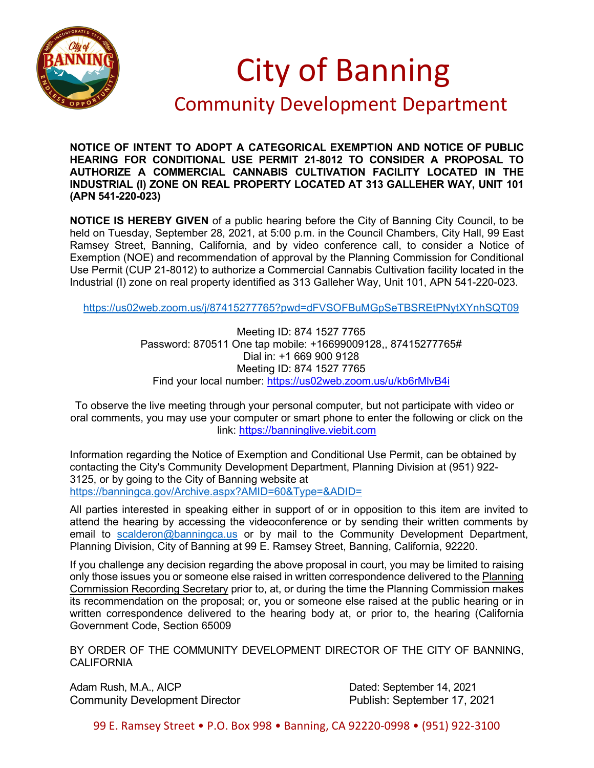

## City of Banning

## Community Development Department

**NOTICE OF INTENT TO ADOPT A CATEGORICAL EXEMPTION AND NOTICE OF PUBLIC HEARING FOR CONDITIONAL USE PERMIT 21-8012 TO CONSIDER A PROPOSAL TO AUTHORIZE A COMMERCIAL CANNABIS CULTIVATION FACILITY LOCATED IN THE INDUSTRIAL (I) ZONE ON REAL PROPERTY LOCATED AT 313 GALLEHER WAY, UNIT 101 (APN 541-220-023)**

**NOTICE IS HEREBY GIVEN** of a public hearing before the City of Banning City Council, to be held on Tuesday, September 28, 2021, at 5:00 p.m. in the Council Chambers, City Hall, 99 East Ramsey Street, Banning, California, and by video conference call, to consider a Notice of Exemption (NOE) and recommendation of approval by the Planning Commission for Conditional Use Permit (CUP 21-8012) to authorize a Commercial Cannabis Cultivation facility located in the Industrial (I) zone on real property identified as 313 Galleher Way, Unit 101, APN 541-220-023.

<https://us02web.zoom.us/j/87415277765?pwd=dFVSOFBuMGpSeTBSREtPNytXYnhSQT09>

Meeting ID: 874 1527 7765 Password: 870511 One tap mobile: +16699009128,, 87415277765# Dial in: +1 669 900 9128 Meeting ID: 874 1527 7765 Find your local number:<https://us02web.zoom.us/u/kb6rMlvB4i>

To observe the live meeting through your personal computer, but not participate with video or oral comments, you may use your computer or smart phone to enter the following or click on the link: [https://banninglive.viebit.com](https://banninglive.viebit.com/)

Information regarding the Notice of Exemption and Conditional Use Permit, can be obtained by contacting the City's Community Development Department, Planning Division at (951) 922- 3125, or by going to the City of Banning website at <https://banningca.gov/Archive.aspx?AMID=60&Type=&ADID=>

All parties interested in speaking either in support of or in opposition to this item are invited to attend the hearing by accessing the videoconference or by sending their written comments by email to [scalderon@banningca.us](mailto:scalderon@banningca.us) or by mail to the Community Development Department, Planning Division, City of Banning at 99 E. Ramsey Street, Banning, California, 92220.

If you challenge any decision regarding the above proposal in court, you may be limited to raising only those issues you or someone else raised in written correspondence delivered to the Planning Commission Recording Secretary prior to, at, or during the time the Planning Commission makes its recommendation on the proposal; or, you or someone else raised at the public hearing or in written correspondence delivered to the hearing body at, or prior to, the hearing (California Government Code, Section 65009

BY ORDER OF THE COMMUNITY DEVELOPMENT DIRECTOR OF THE CITY OF BANNING, **CALIFORNIA** 

Adam Rush, M.A., AICP Dated: September 14, 2021 Community Development Director **Publish: September 17, 2021** 

99 E. Ramsey Street • P.O. Box 998 • Banning, CA 92220-0998 • (951) 922-3100